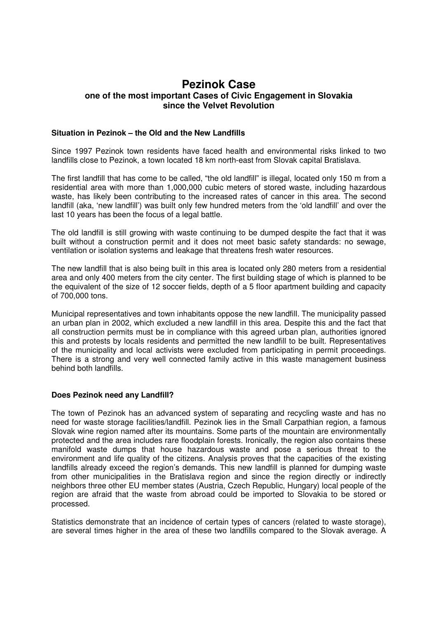# **Pezinok Case one of the most important Cases of Civic Engagement in Slovakia since the Velvet Revolution**

### **Situation in Pezinok – the Old and the New Landfills**

Since 1997 Pezinok town residents have faced health and environmental risks linked to two landfills close to Pezinok, a town located 18 km north-east from Slovak capital Bratislava.

The first landfill that has come to be called, "the old landfill" is illegal, located only 150 m from a residential area with more than 1,000,000 cubic meters of stored waste, including hazardous waste, has likely been contributing to the increased rates of cancer in this area. The second landfill (aka, 'new landfill') was built only few hundred meters from the 'old landfill' and over the last 10 years has been the focus of a legal battle.

The old landfill is still growing with waste continuing to be dumped despite the fact that it was built without a construction permit and it does not meet basic safety standards: no sewage, ventilation or isolation systems and leakage that threatens fresh water resources.

The new landfill that is also being built in this area is located only 280 meters from a residential area and only 400 meters from the city center. The first building stage of which is planned to be the equivalent of the size of 12 soccer fields, depth of a 5 floor apartment building and capacity of 700,000 tons.

Municipal representatives and town inhabitants oppose the new landfill. The municipality passed an urban plan in 2002, which excluded a new landfill in this area. Despite this and the fact that all construction permits must be in compliance with this agreed urban plan, authorities ignored this and protests by locals residents and permitted the new landfill to be built. Representatives of the municipality and local activists were excluded from participating in permit proceedings. There is a strong and very well connected family active in this waste management business behind both landfills.

## **Does Pezinok need any Landfill?**

The town of Pezinok has an advanced system of separating and recycling waste and has no need for waste storage facilities/landfill. Pezinok lies in the Small Carpathian region, a famous Slovak wine region named after its mountains. Some parts of the mountain are environmentally protected and the area includes rare floodplain forests. Ironically, the region also contains these manifold waste dumps that house hazardous waste and pose a serious threat to the environment and life quality of the citizens. Analysis proves that the capacities of the existing landfills already exceed the region's demands. This new landfill is planned for dumping waste from other municipalities in the Bratislava region and since the region directly or indirectly neighbors three other EU member states (Austria, Czech Republic, Hungary) local people of the region are afraid that the waste from abroad could be imported to Slovakia to be stored or processed.

Statistics demonstrate that an incidence of certain types of cancers (related to waste storage), are several times higher in the area of these two landfills compared to the Slovak average. A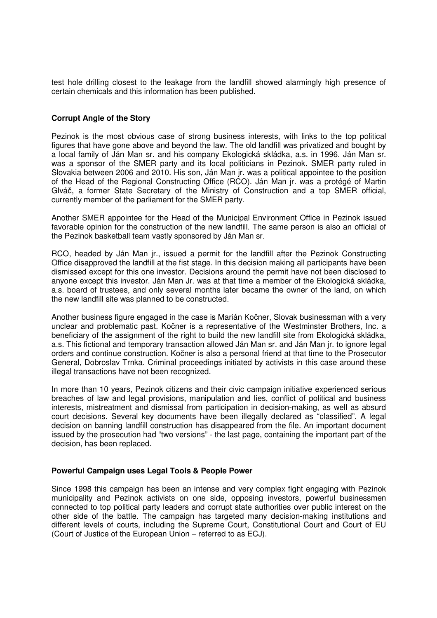test hole drilling closest to the leakage from the landfill showed alarmingly high presence of certain chemicals and this information has been published.

## **Corrupt Angle of the Story**

Pezinok is the most obvious case of strong business interests, with links to the top political figures that have gone above and beyond the law. The old landfill was privatized and bought by a local family of Ján Man sr. and his company Ekologická skládka, a.s. in 1996. Ján Man sr. was a sponsor of the SMER party and its local politicians in Pezinok. SMER party ruled in Slovakia between 2006 and 2010. His son, Ján Man jr. was a political appointee to the position of the Head of the Regional Constructing Office (RCO). Ján Man jr. was a protégé of Martin Glváč, a former State Secretary of the Ministry of Construction and a top SMER official, currently member of the parliament for the SMER party.

Another SMER appointee for the Head of the Municipal Environment Office in Pezinok issued favorable opinion for the construction of the new landfill. The same person is also an official of the Pezinok basketball team vastly sponsored by Ján Man sr.

RCO, headed by Ján Man jr., issued a permit for the landfill after the Pezinok Constructing Office disapproved the landfill at the fist stage. In this decision making all participants have been dismissed except for this one investor. Decisions around the permit have not been disclosed to anyone except this investor. Ján Man Jr. was at that time a member of the Ekologická skládka, a.s. board of trustees, and only several months later became the owner of the land, on which the new landfill site was planned to be constructed.

Another business figure engaged in the case is Marián Kočner, Slovak businessman with a very unclear and problematic past. Kočner is a representative of the Westminster Brothers, Inc. a beneficiary of the assignment of the right to build the new landfill site from Ekologická skládka, a.s. This fictional and temporary transaction allowed Ján Man sr. and Ján Man jr. to ignore legal orders and continue construction. Kočner is also a personal friend at that time to the Prosecutor General, Dobroslav Trnka. Criminal proceedings initiated by activists in this case around these illegal transactions have not been recognized.

In more than 10 years, Pezinok citizens and their civic campaign initiative experienced serious breaches of law and legal provisions, manipulation and lies, conflict of political and business interests, mistreatment and dismissal from participation in decision-making, as well as absurd court decisions. Several key documents have been illegally declared as "classified". A legal decision on banning landfill construction has disappeared from the file. An important document issued by the prosecution had "two versions" - the last page, containing the important part of the decision, has been replaced.

#### **Powerful Campaign uses Legal Tools & People Power**

Since 1998 this campaign has been an intense and very complex fight engaging with Pezinok municipality and Pezinok activists on one side, opposing investors, powerful businessmen connected to top political party leaders and corrupt state authorities over public interest on the other side of the battle. The campaign has targeted many decision-making institutions and different levels of courts, including the Supreme Court, Constitutional Court and Court of EU (Court of Justice of the European Union – referred to as ECJ).